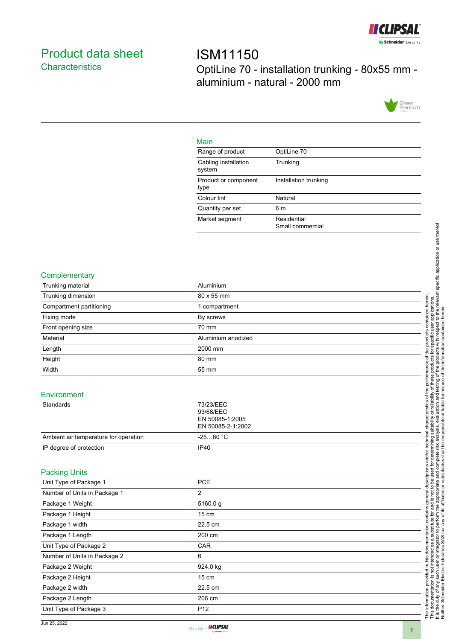

## <span id="page-0-0"></span>Product data sheet **Characteristics**

ISM11150 OptiLine 70 - installation trunking - 80x55 mm aluminium - natural - 2000 mm



#### Main

| . <u>.</u> .                   |                                 |
|--------------------------------|---------------------------------|
| Range of product               | OptiLine 70                     |
| Cabling installation<br>system | Trunking                        |
| Product or component<br>type   | Installation trunking           |
| Colour tint                    | Natural                         |
| Quantity per set               | 6 m                             |
| Market segment                 | Residential<br>Small commercial |

#### **Complementary**

| Trunking material                              | Aluminium                                                      |
|------------------------------------------------|----------------------------------------------------------------|
| Trunking dimension                             | 80 x 55 mm                                                     |
| Compartment partitioning                       | 1 compartment                                                  |
| Fixing mode                                    | By screws                                                      |
| Front opening size                             | 70 mm                                                          |
| Material                                       | Aluminium anodized                                             |
| Length                                         | 2000 mm                                                        |
| Height                                         | 80 mm                                                          |
| Width                                          | 55 mm                                                          |
| Environment                                    |                                                                |
| Standards                                      | 73/23/EEC<br>93/68/EEC<br>EN 50085-1:2005<br>EN 50085-2-1:2002 |
| Ambient air temperature for operation          | $-2560 °C$                                                     |
| IP degree of protection                        | <b>IP40</b>                                                    |
|                                                |                                                                |
| <b>Packing Units</b><br>Unit Type of Package 1 | PCE                                                            |
| Number of Units in Package 1                   | $\overline{2}$                                                 |
| Package 1 Weight                               | 5160.0g                                                        |
| Package 1 Height                               | 15 cm                                                          |
|                                                | 22.5 cm                                                        |
| Package 1 width                                |                                                                |
| Package 1 Length                               | 200 cm                                                         |
| Unit Type of Package 2                         | CAR                                                            |
| Number of Units in Package 2                   | 6                                                              |
| Package 2 Weight                               | 924.0 kg                                                       |
| Package 2 Height                               | 15 cm                                                          |
| Package 2 width                                | 22.5 cm                                                        |
| Package 2 Length                               | 206 cm                                                         |
| Unit Type of Package 3                         | P <sub>12</sub>                                                |

Jun 25, 2022